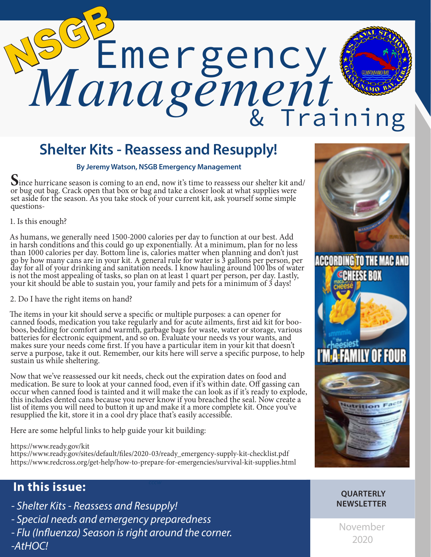# Emergency *Management* NSGB & Training

# **Shelter Kits - Reassess and Resupply!**

**By Jeremy Watson, NSGB Emergency Management**

Since hurricane season is coming to an end, now it's time to reassess our shelter kit and/ or bug out bag. Crack open that box or bag and take a closer look at what supplies were set aside for the season. As you take stock of your current kit, ask yourself some simple questions-

1. Is this enough?

As humans, we generally need 1500-2000 calories per day to function at our best. Add in harsh conditions and this could go up exponentially. At a minimum, plan for no less than 1000 calories per day. Bottom line is, calories matter when planning and don't just go by how many cans are in your kit. A general rule for water is 3 gallons per person, per day for all of your drinking and sanitation needs. I know hauling around 100 lbs of water is not the most appealing of tasks, so plan on at least 1 quart per person, per day. Lastly, your kit should be able to sustain you, your family and pets for a minimum of 3 days!

2. Do I have the right items on hand?

The items in your kit should serve a specific or multiple purposes: a can opener for canned foods, medication you take regularly and for acute ailments, first aid kit for booboos, bedding for comfort and warmth, garbage bags for waste, water or storage, various batteries for electronic equipment, and so on. Evaluate your needs vs your wants, and makes sure your needs come first. If you have a particular item in your kit that doesn't serve a purpose, take it out. Remember, our kits here will serve a specific purpose, to help sustain us while sheltering.

Now that we've reassessed our kit needs, check out the expiration dates on food and medication. Be sure to look at your canned food, even if it's within date. Off gassing can occur when canned food is tainted and it will make the can look as if it's ready to explode, this includes dented cans because you never know if you breached the seal. Now create a list of items you will need to button it up and make it a more complete kit. Once you've resupplied the kit, store it in a cool dry place that's easily accessible.

Here are some helpful links to help guide your kit building:

https://www.ready.gov/kit

https://www.ready.gov/sites/default/files/2020-03/ready\_emergency-supply-kit-checklist.pdf https://www.redcross.org/get-help/how-to-prepare-for-emergencies/survival-kit-supplies.html

## **In this issue:**

- *Shelter Kits Reassess and Resupply!*
- *Special needs and emergency preparedness*
- *Flu (Influenza) Season is right around the corner. -AtHOC!*



#### **QUARTERLY NEWSLETTER**

November 2020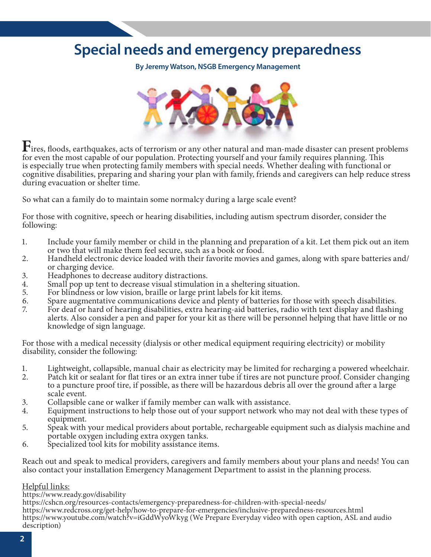## **Special needs and emergency preparedness**

**By Jeremy Watson, NSGB Emergency Management**



Fires, floods, earthquakes, acts of terrorism or any other natural and man-made disaster can present problems for even the most capable of our population. Protecting yourself and your family requires planning. This is especially true when protecting family members with special needs. Whether dealing with functional or cognitive disabilities, preparing and sharing your plan with family, friends and caregivers can help reduce stress during evacuation or shelter time.

So what can a family do to maintain some normalcy during a large scale event?

For those with cognitive, speech or hearing disabilities, including autism spectrum disorder, consider the following:

- 1. Include your family member or child in the planning and preparation of a kit. Let them pick out an item or two that will make them feel secure, such as a book or food.
- 2. Handheld electronic device loaded with their favorite movies and games, along with spare batteries and/ or charging device.
- 3. Headphones to decrease auditory distractions.
- 4. Small pop up tent to decrease visual stimulation in a sheltering situation.
- 5. For blindness or low vision, braille or large print labels for kit items.
- 6. Spare augmentative communications device and plenty of batteries for those with speech disabilities.
- 7. For deaf or hard of hearing disabilities, extra hearing-aid batteries, radio with text display and flashing alerts. Also consider a pen and paper for your kit as there will be personnel helping that have little or no knowledge of sign language.

For those with a medical necessity (dialysis or other medical equipment requiring electricity) or mobility disability, consider the following:

- 1. Lightweight, collapsible, manual chair as electricity may be limited for recharging a powered wheelchair.
- 2. Patch kit or sealant for flat tires or an extra inner tube if tires are not puncture proof. Consider changing to a puncture proof tire, if possible, as there will be hazardous debris all over the ground after a large scale event.
- 3. Collapsible cane or walker if family member can walk with assistance.
- 4. Equipment instructions to help those out of your support network who may not deal with these types of equipment.
- 5. Speak with your medical providers about portable, rechargeable equipment such as dialysis machine and portable oxygen including extra oxygen tanks.
- 6. Specialized tool kits for mobility assistance items.

Reach out and speak to medical providers, caregivers and family members about your plans and needs! You can also contact your installation Emergency Management Department to assist in the planning process.

#### Helpful links:

https://www.ready.gov/disability

https://cshcn.org/resources-contacts/emergency-preparedness-for-children-with-special-needs/ https://www.redcross.org/get-help/how-to-prepare-for-emergencies/inclusive-preparedness-resources.html https://www.youtube.com/watch?v=iGddWyoWkyg (We Prepare Everyday video with open caption, ASL and audio description)